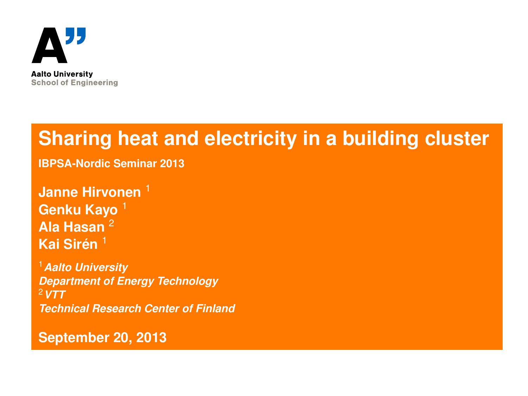

# **Sharing heat and electricity in a building cluster**

**IBPSA-Nordic Seminar 2013**

**Janne Hirvonen**<sup>1</sup> **Genku Kayo** <sup>1</sup> **Ala Hasan** <sup>2</sup> **Kai Sirén** <sup>1</sup>

<sup>1</sup>*Aalto University Department of Energy Technology* <sup>2</sup>*VTT Technical Research Center of Finland*

<span id="page-0-0"></span>**September 20, 2013**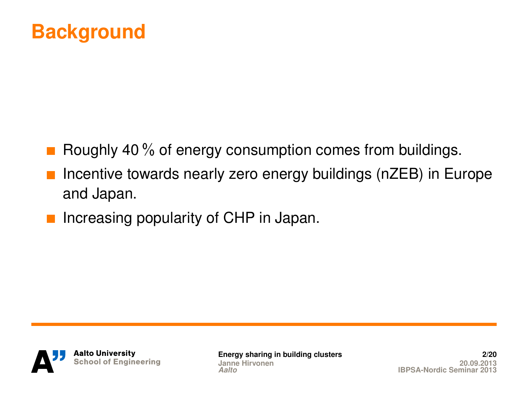

- Roughly 40 % of energy consumption comes from buildings.
- Incentive towards nearly zero energy buildings (nZEB) in Europe and Japan.
- Increasing popularity of CHP in Japan.



**[Energy sharing in building clusters](#page-0-0) 2/20 Janne Hirvonen**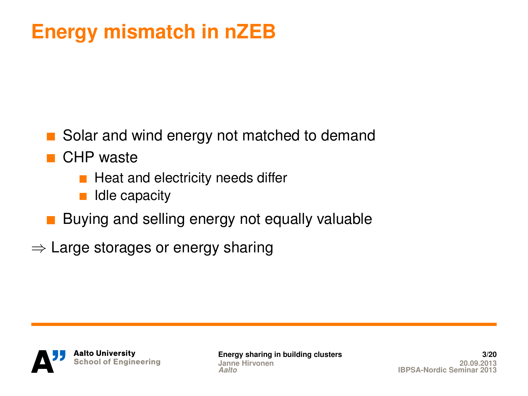# **Energy mismatch in nZEB**

- Solar and wind energy not matched to demand
- CHP waste
	- $\blacksquare$  Heat and electricity needs differ
	- Idle capacity
- Buying and selling energy not equally valuable
- $\Rightarrow$  Large storages or energy sharing



**[Energy sharing in building clusters](#page-0-0) 3/20 Janne Hirvonen**<br>Aalto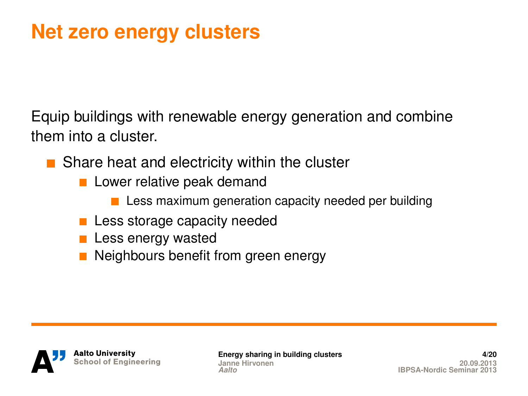# **Net zero energy clusters**

Equip buildings with renewable energy generation and combine them into a cluster.

Share heat and electricity within the cluster

- **Lower relative peak demand** 
	- **Less maximum generation capacity needed per building**
- **Less storage capacity needed**
- **Less energy wasted**
- Neighbours benefit from green energy



**[Energy sharing in building clusters](#page-0-0) Janne Hirvonen**<br>Aalto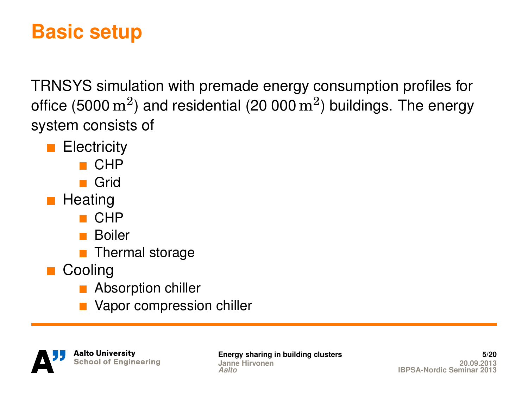# **Basic setup**

TRNSYS simulation with premade energy consumption profiles for office (5000  $\mathrm{m}^{2})$  and residential (20 000  $\mathrm{m}^{2})$  buildings. The energy system consists of

- **Electricity** 
	- $\blacksquare$  CHP
	- **Grid**
- **Heating** 
	- $\blacksquare$  CHP
	- **Boiler**
	- $\blacksquare$  Thermal storage
- **Cooling** 
	- **Absorption chiller**
	- Vapor compression chiller



**[Energy sharing in building clusters](#page-0-0) 5/20 Janne Hirvonen**<br>Aalto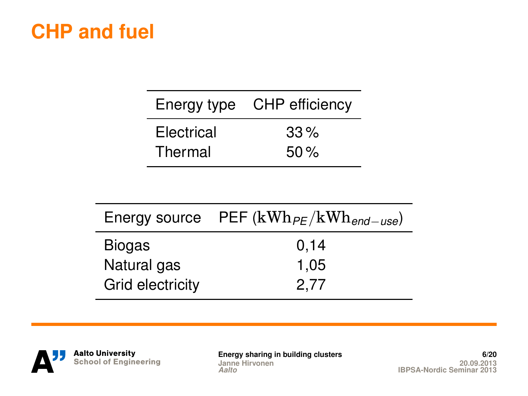## **CHP and fuel**

| Energy type | CHP efficiency |  |
|-------------|----------------|--|
| Electrical  | $33\%$         |  |
| Thermal     | 50%            |  |

|                  | Energy source PEF $(kWh_{PE}/kWh_{end-use})$ |  |
|------------------|----------------------------------------------|--|
| <b>Biogas</b>    | 0,14                                         |  |
| Natural gas      | 1,05                                         |  |
| Grid electricity | 2.77                                         |  |



**[Energy sharing in building clusters](#page-0-0) 6/20 Janne Hirvonen 20.09.2013** *Aalto* **[IBPSA-Nordic Seminar 2013](#page-0-0)**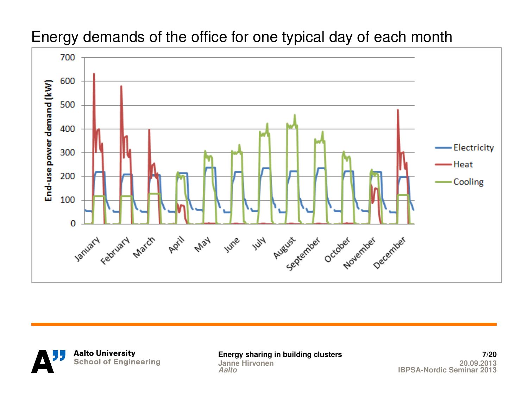

### Energy demands of the office for one typical day of each month



**Janne Hirvonen**<br>Aalto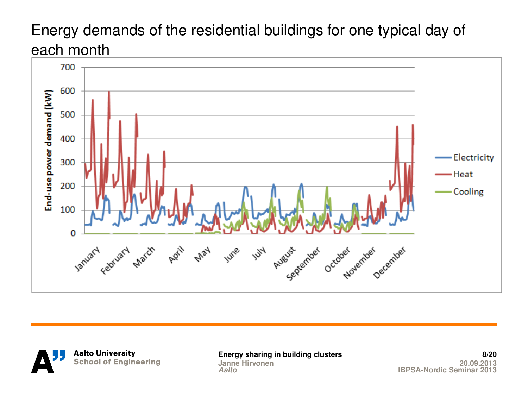## Energy demands of the residential buildings for one typical day of each month





**[Energy sharing in building clusters](#page-0-0) 8/20** *Aalto* **[IBPSA-Nordic Seminar 2013](#page-0-0)**

**Janne Hirvonen**<br>Aalto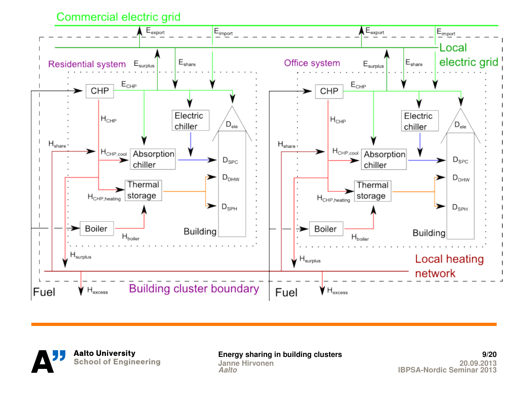Commercial electric grid





**[Energy sharing in building clusters](#page-0-0) 9/20 Janne Hirvonen**<br>Aalto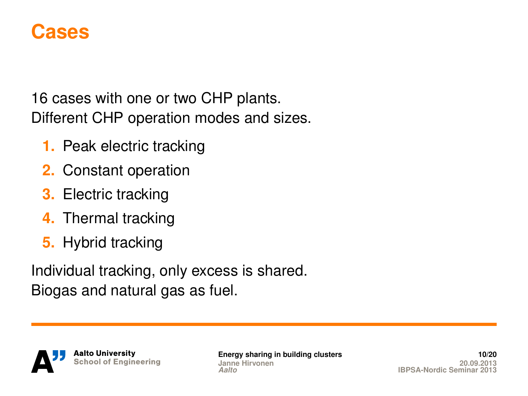

16 cases with one or two CHP plants. Different CHP operation modes and sizes.

- **1.** Peak electric tracking
- **2.** Constant operation
- **3.** Electric tracking
- **4.** Thermal tracking
- **5.** Hybrid tracking

Individual tracking, only excess is shared. Biogas and natural gas as fuel.



**[Energy sharing in building clusters](#page-0-0) 10/20 Janne Hirvonen**<br>Aalto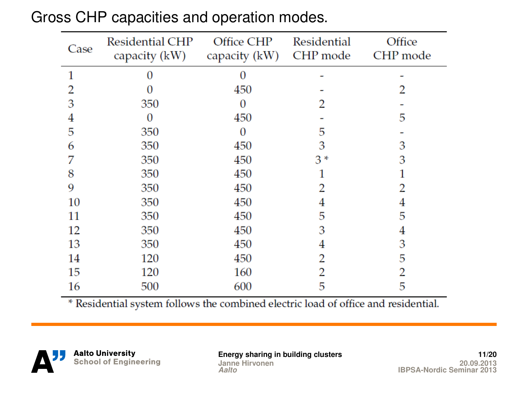| Case | <b>Residential CHP</b><br>capacity (kW) | Office CHP<br>capacity (kW) | Residential<br>CHP mode | Office<br>CHP mode |
|------|-----------------------------------------|-----------------------------|-------------------------|--------------------|
|      | O                                       | $\Omega$                    |                         |                    |
|      |                                         | 450                         |                         |                    |
| 3    | 350                                     | 0                           |                         |                    |
| 4    | 0                                       | 450                         |                         | 5                  |
| 5    | 350                                     | 0                           | 5                       |                    |
| 6    | 350                                     | 450                         | 3                       | 3                  |
| 7    | 350                                     | 450                         | $3*$                    | 3                  |
| 8    | 350                                     | 450                         |                         |                    |
| 9    | 350                                     | 450                         |                         |                    |
| 10   | 350                                     | 450                         | 4                       |                    |
| 11   | 350                                     | 450                         | 5                       | 5                  |
| 12   | 350                                     | 450                         | 3                       | 4                  |
| 13   | 350                                     | 450                         |                         | 3                  |
| 14   | 120                                     | 450                         | 2                       | 5                  |
| 15   | 120                                     | 160                         | 2                       | 2                  |
| 16   | 500                                     | 600                         | 5                       | 5                  |

### Gross CHP capacities and operation modes.

\* Residential system follows the combined electric load of office and residential.

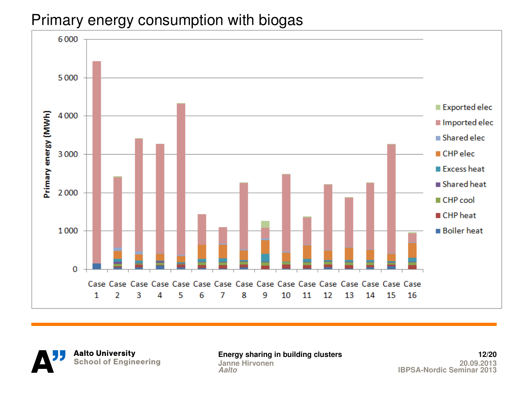## Primary energy consumption with biogas



**Aalto University** School of Engineering

**Janne Hirvonen**<br>Aalto

**[Energy sharing in building clusters](#page-0-0) 12/20** *Aalto* **[IBPSA-Nordic Seminar 2013](#page-0-0)**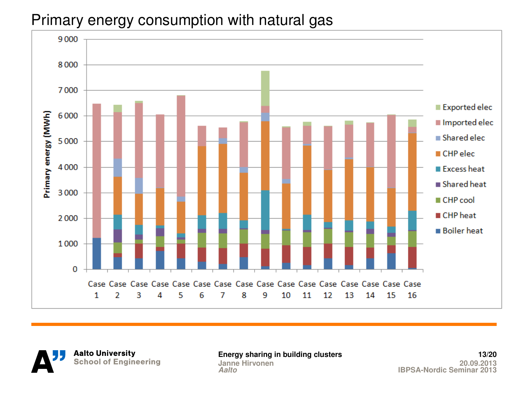## Primary energy consumption with natural gas



**Aalto University** School of Engineering

**Janne Hirvonen** 

**[Energy sharing in building clusters](#page-0-0) 13/20** *Aalto* **[IBPSA-Nordic Seminar 2013](#page-0-0)**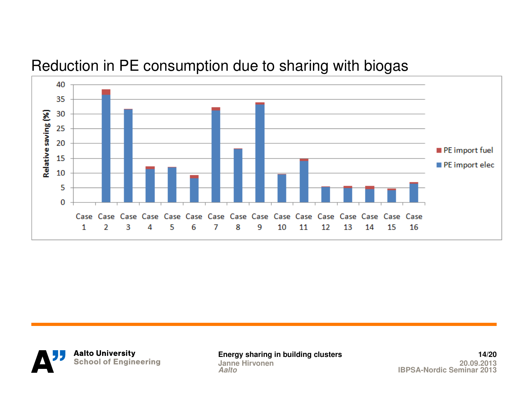

### Reduction in PE consumption due to sharing with biogas



**[Energy sharing in building clusters](#page-0-0) 14/20 Janne Hirvonen**<br>Aalto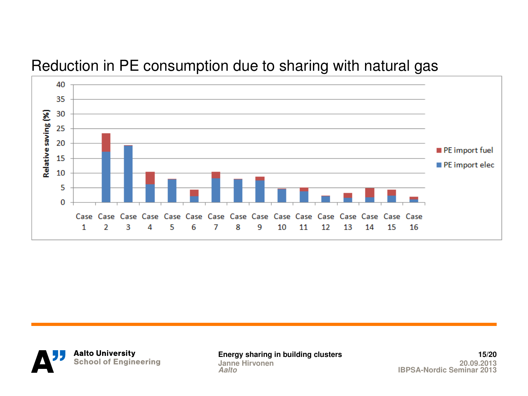### Reduction in PE consumption due to sharing with natural gas





**[Energy sharing in building clusters](#page-0-0) 15/20 Janne Hirvonen**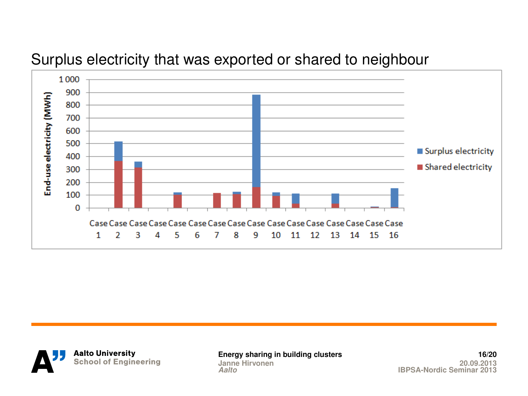

### Surplus electricity that was exported or shared to neighbour

**Aalto University** School of Engineering **[Energy sharing in building clusters](#page-0-0) 16/20 Janne Hirvonen**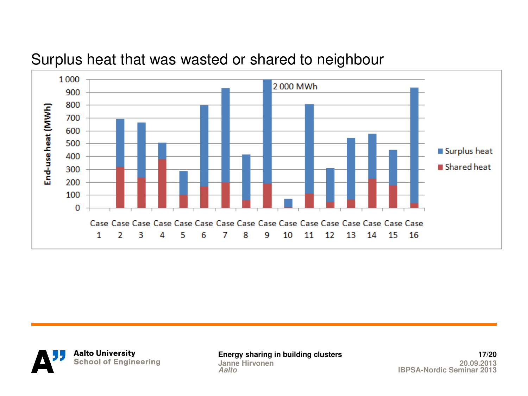

### Surplus heat that was wasted or shared to neighbour

**Aalto University** School of Engineering **[Energy sharing in building clusters](#page-0-0) 17/20 Janne Hirvonen**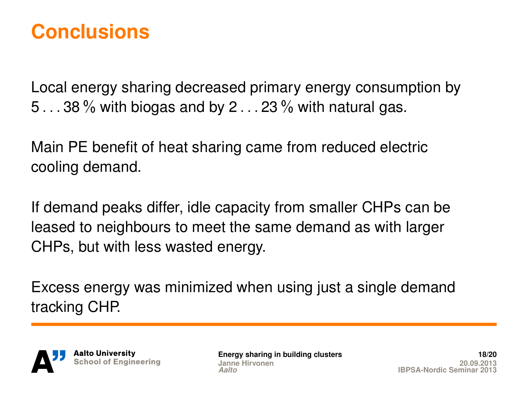## **Conclusions**

Local energy sharing decreased primary energy consumption by 5 *. . .* 38 % with biogas and by 2 *. . .* 23 % with natural gas.

Main PE benefit of heat sharing came from reduced electric cooling demand.

If demand peaks differ, idle capacity from smaller CHPs can be leased to neighbours to meet the same demand as with larger CHPs, but with less wasted energy.

Excess energy was minimized when using just a single demand tracking CHP.



**[Energy sharing in building clusters](#page-0-0) Janne Hirvonen**<br>Aalto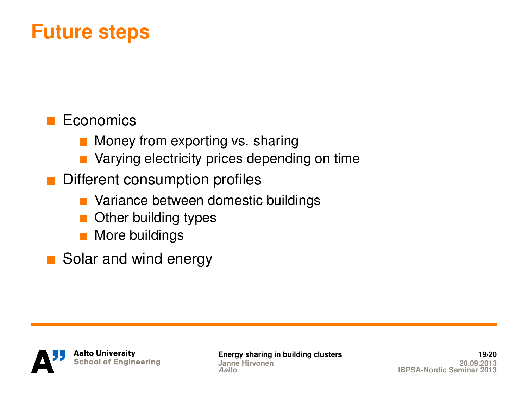## **Future steps**

## Economics

- **Money from exporting vs. sharing**
- Varying electricity prices depending on time
- Different consumption profiles
	- **Nariance between domestic buildings**
	- Other building types
	- **More buildings**
- Solar and wind energy



**[Energy sharing in building clusters](#page-0-0) 19/20 Janne Hirvonen**<br>Aalto